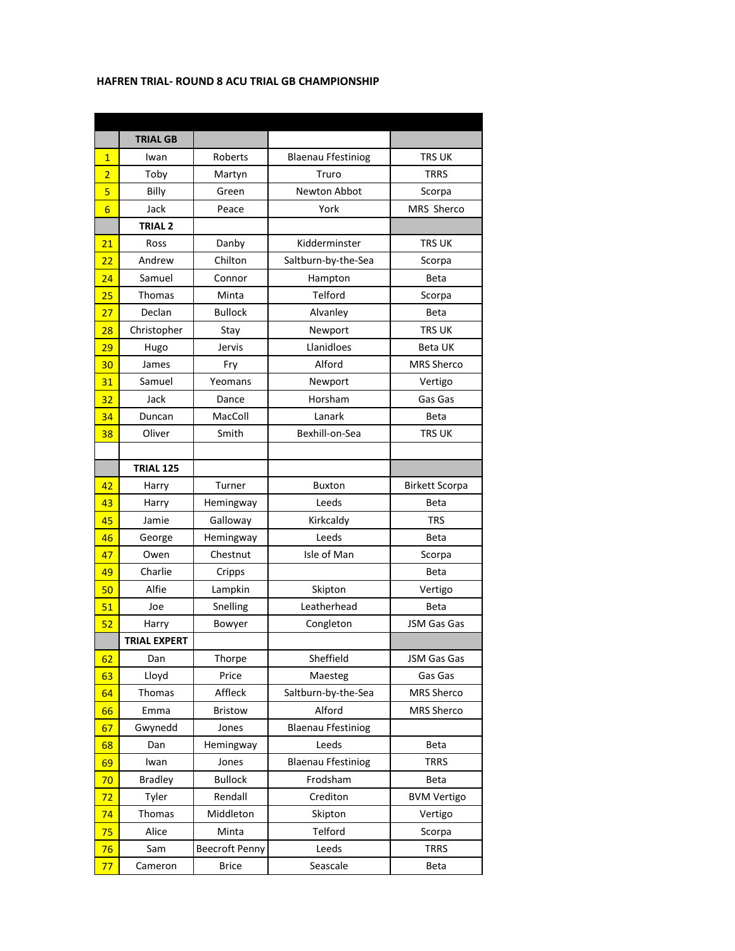## **HAFREN TRIAL- ROUND 8 ACU TRIAL GB CHAMPIONSHIP**

|                 | <b>TRIAL GB</b>     |                       |                           |                       |
|-----------------|---------------------|-----------------------|---------------------------|-----------------------|
| $\overline{1}$  | Iwan                | Roberts               | <b>Blaenau Ffestiniog</b> | <b>TRS UK</b>         |
| $\overline{2}$  | Toby                | Martyn                | Truro                     | <b>TRRS</b>           |
| 5               | Billy               | Green                 | <b>Newton Abbot</b>       | Scorpa                |
| $6\overline{6}$ | Jack                | Peace                 | York                      | MRS Sherco            |
|                 | <b>TRIAL 2</b>      |                       |                           |                       |
| 21              | Ross                | Danby                 | Kidderminster             | <b>TRS UK</b>         |
| 22              | Andrew              | Chilton               | Saltburn-by-the-Sea       | Scorpa                |
| 24              | Samuel              | Connor                | Hampton                   | Beta                  |
| 25              | <b>Thomas</b>       | Minta                 | Telford                   | Scorpa                |
| 27              | Declan              | <b>Bullock</b>        | Alvanley                  | <b>Beta</b>           |
| 28              | Christopher         | Stay                  | Newport                   | <b>TRS UK</b>         |
| 29              | Hugo                | Jervis                | Llanidloes                | <b>Beta UK</b>        |
| 30              | James               | Fry                   | Alford                    | <b>MRS Sherco</b>     |
| 31              | Samuel              | Yeomans               | Newport                   | Vertigo               |
| 32              | Jack                | Dance                 | Horsham                   | Gas Gas               |
| 34              | Duncan              | MacColl               | Lanark                    | <b>Beta</b>           |
| 38              | Oliver              | Smith                 | Bexhill-on-Sea            | <b>TRS UK</b>         |
|                 |                     |                       |                           |                       |
|                 | <b>TRIAL 125</b>    |                       |                           |                       |
| 42              | Harry               | Turner                | <b>Buxton</b>             | <b>Birkett Scorpa</b> |
| 43              | Harry               | Hemingway             | Leeds                     | Beta                  |
| 45              | Jamie               | Galloway              | Kirkcaldy                 | <b>TRS</b>            |
| 46              | George              | Hemingway             | Leeds                     | Beta                  |
| 47              | Owen                | Chestnut              | Isle of Man               | Scorpa                |
| 49              | Charlie             | Cripps                |                           | Beta                  |
| 50              | Alfie               | Lampkin               | Skipton                   | Vertigo               |
| 51              | Joe                 | Snelling              | Leatherhead               | Beta                  |
| 52              | Harry               | Bowyer                | Congleton                 | JSM Gas Gas           |
|                 | <b>TRIAL EXPERT</b> |                       |                           |                       |
| 62              | Dan                 | Thorpe                | Sheffield                 | JSM Gas Gas           |
| 63              | Lloyd               | Price                 | Maesteg                   | Gas Gas               |
| 64              | Thomas              | Affleck               | Saltburn-by-the-Sea       | <b>MRS Sherco</b>     |
| 66              | Emma                | Bristow               | Alford                    | <b>MRS Sherco</b>     |
| 67              | Gwynedd             | Jones                 | <b>Blaenau Ffestiniog</b> |                       |
| 68              | Dan                 | Hemingway             | Leeds                     | Beta                  |
| 69              | Iwan                | Jones                 | <b>Blaenau Ffestiniog</b> | <b>TRRS</b>           |
| 70              | <b>Bradley</b>      | <b>Bullock</b>        | Frodsham                  | Beta                  |
| 72              | Tyler               | Rendall               | Crediton                  | <b>BVM Vertigo</b>    |
| 74              | Thomas              | Middleton             | Skipton                   | Vertigo               |
| 75              | Alice               | Minta                 | Telford                   | Scorpa                |
| 76              | Sam                 | <b>Beecroft Penny</b> | Leeds                     | <b>TRRS</b>           |
| 77              | Cameron             | <b>Brice</b>          | Seascale                  | Beta                  |